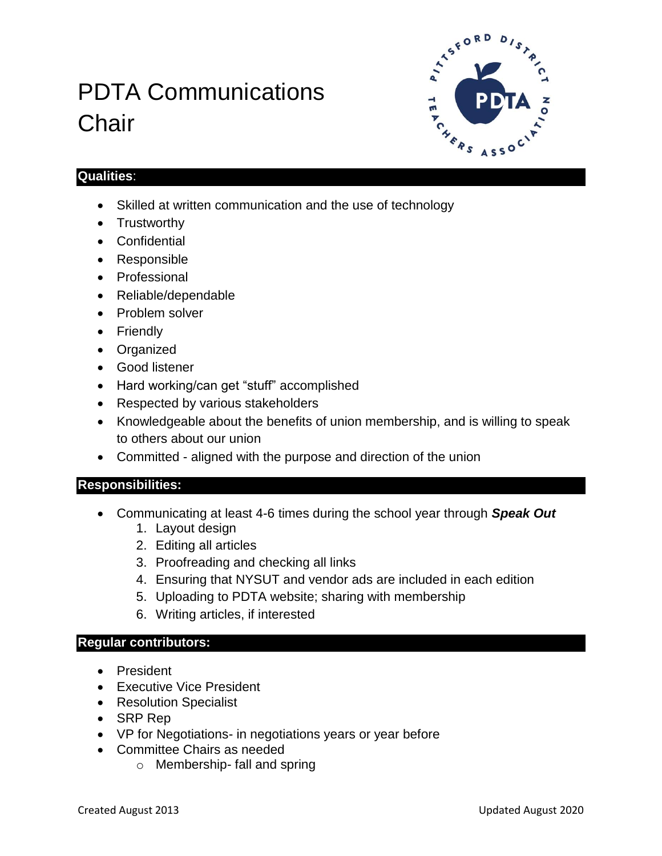# PDTA Communications **Chair**



### **Qualities**:

- Skilled at written communication and the use of technology
- Trustworthy
- Confidential
- Responsible
- Professional
- Reliable/dependable
- Problem solver
- Friendly
- Organized
- Good listener
- Hard working/can get "stuff" accomplished
- Respected by various stakeholders
- Knowledgeable about the benefits of union membership, and is willing to speak to others about our union
- Committed aligned with the purpose and direction of the union

## **Responsibilities:**

- Communicating at least 4-6 times during the school year through *Speak Out*
	- 1. Layout design
	- 2. Editing all articles
	- 3. Proofreading and checking all links
	- 4. Ensuring that NYSUT and vendor ads are included in each edition
	- 5. Uploading to PDTA website; sharing with membership
	- 6. Writing articles, if interested

#### **Regular contributors:**

- President
- Executive Vice President
- Resolution Specialist
- SRP Rep
- VP for Negotiations- in negotiations years or year before
- Committee Chairs as needed
	- o Membership- fall and spring